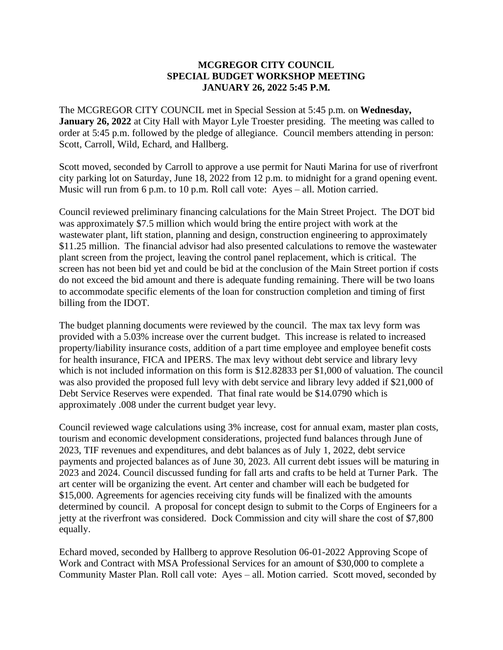## **MCGREGOR CITY COUNCIL SPECIAL BUDGET WORKSHOP MEETING JANUARY 26, 2022 5:45 P.M.**

The MCGREGOR CITY COUNCIL met in Special Session at 5:45 p.m. on **Wednesday, January 26, 2022** at City Hall with Mayor Lyle Troester presiding. The meeting was called to order at 5:45 p.m. followed by the pledge of allegiance. Council members attending in person: Scott, Carroll, Wild, Echard, and Hallberg.

Scott moved, seconded by Carroll to approve a use permit for Nauti Marina for use of riverfront city parking lot on Saturday, June 18, 2022 from 12 p.m. to midnight for a grand opening event. Music will run from 6 p.m. to 10 p.m. Roll call vote: Ayes – all. Motion carried.

Council reviewed preliminary financing calculations for the Main Street Project. The DOT bid was approximately \$7.5 million which would bring the entire project with work at the wastewater plant, lift station, planning and design, construction engineering to approximately \$11.25 million. The financial advisor had also presented calculations to remove the wastewater plant screen from the project, leaving the control panel replacement, which is critical. The screen has not been bid yet and could be bid at the conclusion of the Main Street portion if costs do not exceed the bid amount and there is adequate funding remaining. There will be two loans to accommodate specific elements of the loan for construction completion and timing of first billing from the IDOT.

The budget planning documents were reviewed by the council. The max tax levy form was provided with a 5.03% increase over the current budget. This increase is related to increased property/liability insurance costs, addition of a part time employee and employee benefit costs for health insurance, FICA and IPERS. The max levy without debt service and library levy which is not included information on this form is \$12.82833 per \$1,000 of valuation. The council was also provided the proposed full levy with debt service and library levy added if \$21,000 of Debt Service Reserves were expended. That final rate would be \$14.0790 which is approximately .008 under the current budget year levy.

Council reviewed wage calculations using 3% increase, cost for annual exam, master plan costs, tourism and economic development considerations, projected fund balances through June of 2023, TIF revenues and expenditures, and debt balances as of July 1, 2022, debt service payments and projected balances as of June 30, 2023. All current debt issues will be maturing in 2023 and 2024. Council discussed funding for fall arts and crafts to be held at Turner Park. The art center will be organizing the event. Art center and chamber will each be budgeted for \$15,000. Agreements for agencies receiving city funds will be finalized with the amounts determined by council. A proposal for concept design to submit to the Corps of Engineers for a jetty at the riverfront was considered. Dock Commission and city will share the cost of \$7,800 equally.

Echard moved, seconded by Hallberg to approve Resolution 06-01-2022 Approving Scope of Work and Contract with MSA Professional Services for an amount of \$30,000 to complete a Community Master Plan. Roll call vote: Ayes – all. Motion carried. Scott moved, seconded by